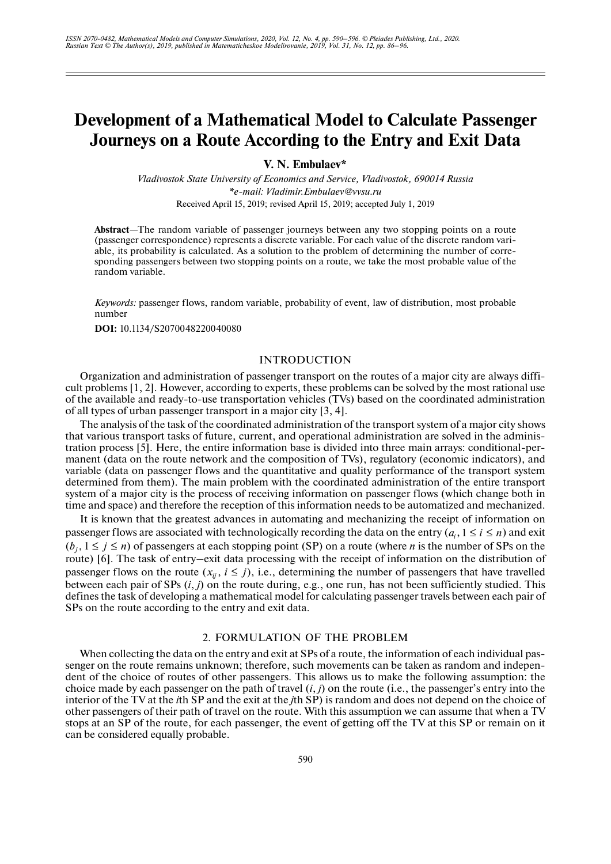# **Development of a Mathematical Model to Calculate Passenger Journeys on a Route According to the Entry and Exit Data**

**V. N. Embulaev\***

*Vladivostok State University of Economics and Service, Vladivostok, 690014 Russia \*e-mail: Vladimir.Embulaev@vvsu.ru* Received April 15, 2019; revised April 15, 2019; accepted July 1, 2019

**Abstract**—The random variable of passenger journeys between any two stopping points on a route (passenger correspondence) represents a discrete variable. For each value of the discrete random variable, its probability is calculated. As a solution to the problem of determining the number of corresponding passengers between two stopping points on a route, we take the most probable value of the random variable.

*Keywords:* passenger flows, random variable, probability of event, law of distribution, most probable number

**DOI:** 10.1134/S2070048220040080

#### INTRODUCTION

Organization and administration of passenger transport on the routes of a major city are always difficult problems [1, 2]. However, according to experts, these problems can be solved by the most rational use of the available and ready-to-use transportation vehicles (TVs) based on the coordinated administration of all types of urban passenger transport in a major city [3, 4].

The analysis of the task of the coordinated administration of the transport system of a major city shows that various transport tasks of future, current, and operational administration are solved in the administration process [5]. Here, the entire information base is divided into three main arrays: conditional-permanent (data on the route network and the composition of TVs), regulatory (economic indicators), and variable (data on passenger flows and the quantitative and quality performance of the transport system determined from them). The main problem with the coordinated administration of the entire transport system of a major city is the process of receiving information on passenger flows (which change both in time and space) and therefore the reception of this information needs to be automatized and mechanized.

It is known that the greatest advances in automating and mechanizing the receipt of information on passenger flows are associated with technologically recording the data on the entry  $(a_i, 1 \le i \le n)$  and exit  $(b_j, 1 \le j \le n)$  of passengers at each stopping point (SP) on a route (where *n* is the number of SPs on the route) [6]. The task of entry–exit data processing with the receipt of information on the distribution of passenger flows on the route  $(x_{ij}, i \le j)$ , i.e., determining the number of passengers that have travelled between each pair of SPs (*i*, *j*) on the route during, e.g., one run, has not been sufficiently studied. This defines the task of developing a mathematical model for calculating passenger travels between each pair of SPs on the route according to the entry and exit data.

# 2. FORMULATION OF THE PROBLEM

When collecting the data on the entry and exit at SPs of a route, the information of each individual passenger on the route remains unknown; therefore, such movements can be taken as random and independent of the choice of routes of other passengers. This allows us to make the following assumption: the choice made by each passenger on the path of travel (*i*, *j*) on the route (i.e., the passenger's entry into the interior of the TV at the *i*th SP and the exit at the *j*th SP) is random and does not depend on the choice of other passengers of their path of travel on the route. With this assumption we can assume that when a TV stops at an SP of the route, for each passenger, the event of getting off the TV at this SP or remain on it can be considered equally probable.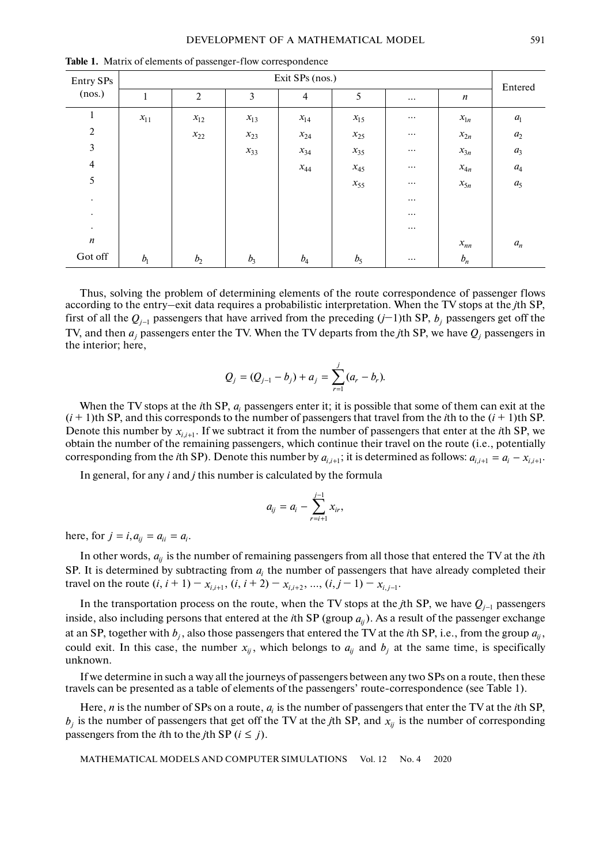| Entry SPs<br>(nos.) | Exit SPs (nos.) |                |          |                |          |          |                     |                    |  |  |  |  |  |
|---------------------|-----------------|----------------|----------|----------------|----------|----------|---------------------|--------------------|--|--|--|--|--|
|                     | 1               | $\overline{2}$ | 3        | $\overline{4}$ | 5        | $\cdots$ | $\boldsymbol{n}$    | Entered            |  |  |  |  |  |
| $\mathbf{1}$        | $x_{11}$        | $x_{12}$       | $x_{13}$ | $x_{14}$       | $x_{15}$ | $\cdots$ | $x_{\mathfrak{l}n}$ | $a_{\rm l}$        |  |  |  |  |  |
| $\sqrt{2}$          |                 | $x_{22}$       | $x_{23}$ | $x_{24}$       | $x_{25}$ | $\cdots$ | $x_{2n}$            | $\boldsymbol{a}_2$ |  |  |  |  |  |
| $\mathfrak{Z}$      |                 |                | $x_{33}$ | $x_{34}$       | $x_{35}$ | $\cdots$ | $x_{3n}$            | $a_3$              |  |  |  |  |  |
| $\overline{4}$      |                 |                |          | $x_{44}$       | $x_{45}$ | $\cdots$ | $x_{4n}$            | $a_4$              |  |  |  |  |  |
| 5                   |                 |                |          |                | $x_{55}$ | $\cdots$ | $x_{5n}$            | $a_5$              |  |  |  |  |  |
| $\bullet$           |                 |                |          |                |          | $\cdots$ |                     |                    |  |  |  |  |  |
| $\bullet$           |                 |                |          |                |          | $\cdots$ |                     |                    |  |  |  |  |  |
| $\bullet$           |                 |                |          |                |          | $\cdots$ |                     |                    |  |  |  |  |  |
| $\boldsymbol{n}$    |                 |                |          |                |          |          | $x_{nn}$            | $\boldsymbol{a}_n$ |  |  |  |  |  |
| Got off             | b <sub>1</sub>  | b <sub>2</sub> | $b_3$    | $b_4$          | $b_5$    | $\cdots$ | $b_n$               |                    |  |  |  |  |  |

**Table 1.** Matrix of elements of passenger-flow correspondence

Thus, solving the problem of determining elements of the route correspondence of passenger flows according to the entry–exit data requires a probabilistic interpretation. When the TV stops at the *j*th SP, first of all the  $Q_{j-1}$  passengers that have arrived from the preceding  $(j-1)$ th SP,  $b_j$  passengers get off the TV, and then  $a_j$  passengers enter the TV. When the TV departs from the *j*th SP, we have  $Q_j$  passengers in the interior; here,

$$
Q_j = (Q_{j-1} - b_j) + a_j = \sum_{r=1}^j (a_r - b_r).
$$

When the TV stops at the *i*th SP,  $a_i$  passengers enter it; it is possible that some of them can exit at the  $(i + 1)$ th SP, and this corresponds to the number of passengers that travel from the *i*th to the  $(i + 1)$ th SP. Denote this number by  $x_{i,i+1}$ . If we subtract it from the number of passengers that enter at the *i*th SP, we obtain the number of the remaining passengers, which continue their travel on the route (i.e., potentially corresponding from the *i*th SP). Denote this number by  $a_{i,i+1}$ ; it is determined as follows:  $a_{i,i+1} = a_i - x_{i,i+1}$ .

In general, for any *i* and *j* this number is calculated by the formula

$$
a_{ij} = a_i - \sum_{r=i+1}^{j-1} x_{ir},
$$

here, for  $j = i$ ,  $a_{ij} = a_{ii} = a_i$ .

In other words,  $a_{ij}$  is the number of remaining passengers from all those that entered the TV at the *i*th SP. It is determined by subtracting from  $a_i$  the number of passengers that have already completed their travel on the route  $(i, i + 1) - x_{i,i+1}, (i, i + 2) - x_{i,i+2}, ..., (i, j - 1) - x_{i,j-1}$ .

In the transportation process on the route, when the TV stops at the *j*th SP, we have  $Q_{j-1}$  passengers inside, also including persons that entered at the *i*th SP (group  $a_{ij}$ ). As a result of the passenger exchange at an SP, together with  $b_j$ , also those passengers that entered the TV at the *i*th SP, i.e., from the group  $a_{ij}$ , could exit. In this case, the number  $x_{ij}$ , which belongs to  $a_{ij}$  and  $b_j$  at the same time, is specifically unknown.

If we determine in such a way all the journeys of passengers between any two SPs on a route, then these travels can be presented as a table of elements of the passengers' route-correspondence (see Table 1).

Here, *n* is the number of SPs on a route,  $a_i$  is the number of passengers that enter the TV at the *i*th SP,  $b_j$  is the number of passengers that get off the TV at the *j*th SP, and  $x_{ij}$  is the number of corresponding passengers from the *i*th to the *j*th SP ( $i \leq j$ ).

MATHEMATICAL MODELS AND COMPUTER SIMULATIONS Vol. 12 No. 4 2020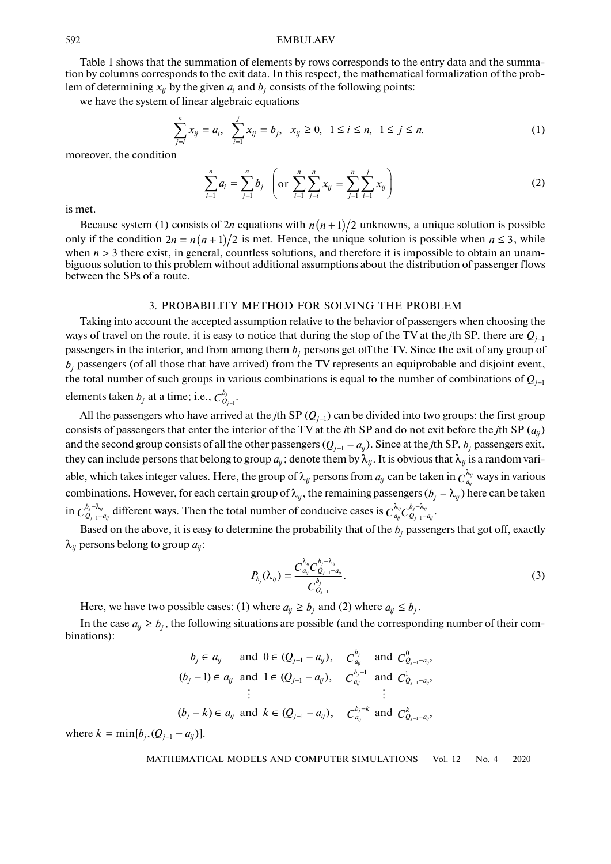#### EMBULAEV

Table 1 shows that the summation of elements by rows corresponds to the entry data and the summation by columns corresponds to the exit data. In this respect, the mathematical formalization of the problem of determining  $x_{ij}$  by the given  $a_i$  and  $b_j$  consists of the following points:

we have the system of linear algebraic equations

$$
\sum_{j=i}^{n} x_{ij} = a_i, \quad \sum_{i=1}^{j} x_{ij} = b_j, \quad x_{ij} \ge 0, \quad 1 \le i \le n, \quad 1 \le j \le n. \tag{1}
$$

moreover, the condition

$$
\sum_{i=1}^{n} a_i = \sum_{j=1}^{n} b_j \quad \left( \text{or} \quad \sum_{i=1}^{n} \sum_{j=i}^{n} x_{ij} = \sum_{j=1}^{n} \sum_{i=1}^{j} x_{ij} \right) \tag{2}
$$

is met.

Because system (1) consists of 2*n* equations with  $n(n+1)/2$  unknowns, a unique solution is possible only if the condition  $2n = n(n+1)/2$  is met. Hence, the unique solution is possible when  $n \le 3$ , while when  $n > 3$  there exist, in general, countless solutions, and therefore it is impossible to obtain an unambiguous solution to this problem without additional assumptions about the distribution of passenger flows between the SPs of a route.

#### 3. PROBABILITY METHOD FOR SOLVING THE PROBLEM

Taking into account the accepted assumption relative to the behavior of passengers when choosing the ways of travel on the route, it is easy to notice that during the stop of the TV at the *j*th SP, there are *Qj*−<sup>1</sup> passengers in the interior, and from among them  $b_j$  persons get off the TV. Since the exit of any group of  $b_j$  passengers (of all those that have arrived) from the TV represents an equiprobable and disjoint event, the total number of such groups in various combinations is equal to the number of combinations of *Qj*−<sup>1</sup> elements taken  $b_j$  at a time; i.e.,  $C^{b_j}_{Q_{j-1}}$ . *j*  $C^{b_j}_{\mathcal{Q}_{j-}}$ 

All the passengers who have arrived at the *j*th SP ( $Q_{j-1}$ ) can be divided into two groups: the first group consists of passengers that enter the interior of the TV at the *i*th SP and do not exit before the *j*th SP  $(a_{ij})$ and the second group consists of all the other passengers  $(Q_{j-1} - a_{ij})$ . Since at the *j*th SP,  $b_j$  passengers exit, they can include persons that belong to group  $a_{ij}$ ; denote them by  $\lambda_{ij}$ . It is obvious that  $\lambda_{ij}$  is a random variable, which takes integer values. Here, the group of  $\lambda_{ij}$  persons from  $a_{ij}$  can be taken in  $C^{\lambda_{ij}}_{a_{ij}}$  ways in various combinations. However, for each certain group of  $\lambda_{ij}$ , the remaining passengers ( $b_j - \lambda_{ij}$ ) here can be taken in  $C_{Q_{j-1}-a_{ij}}^{b_j-\lambda_{ij}}$  different ways. Then the total number of conducive cases is  $C_{a_{ij}}^{\lambda_{ij}}C_{Q_{j-1}-a_{ij}}^{b_j-\lambda_{ij}}$ . *j ij*  $i_{j-1}$ – $a_{ij}$  $C^{b_j-\lambda_{ij}}_{Q_{j-1}-a_j}$  $\frac{d\psi_{ij}}{d\mu_{ij}}$  different ways. Then the total number of conducive cases is  $C^{\lambda_{ij}}_{a_{ij}}C^{\nu_j-\lambda_{ij}}_{Q_{j-1}-1}$  $q_{ij}$   $\sigma$   $Q_{j-1}$   $-a_{ij}$  $C^{\lambda_{ij}}_{a_{ij}} C^{b_j-\lambda_{ij}}_{Q_{j-1}-a}$ −

Based on the above, it is easy to determine the probability that of the  $b_j$  passengers that got off, exactly  $\lambda_{ij}$  persons belong to group  $a_{ij}$ :

$$
P_{b_j}(\lambda_{ij}) = \frac{C_{a_{ij}}^{\lambda_{ij}} C_{Q_{j-1}-a_{ij}}^{b_j - \lambda_{ij}}}{C_{Q_{j-1}}^{b_j}}.
$$
\n(3)

Here, we have two possible cases: (1) where  $a_{ij} \ge b_j$  and (2) where  $a_{ij} \le b_j$ .

In the case  $a_{ij} \ge b_j$ , the following situations are possible (and the corresponding number of their combinations):

$$
b_j \in a_{ij}
$$
 and  $0 \in (Q_{j-1} - a_{ij})$ ,  $C_{a_{ij}}^{b_j}$  and  $C_{Q_{j-1} - a_{ij}}^0$ ,  
\n $(b_j - 1) \in a_{ij}$  and  $1 \in (Q_{j-1} - a_{ij})$ ,  $C_{a_{ij}}^{b_j - 1}$  and  $C_{Q_{j-1} - a_{ij}}^1$ ,  
\n $\vdots$   
\n $(b_j - k) \in a_{ij}$  and  $k \in (Q_{j-1} - a_{ij})$ ,  $C_{a_{ij}}^{b_j - k}$  and  $C_{Q_{j-1} - a_{ij}}^k$ ,

where  $k = \min[b_j, (Q_{j-1} - a_{ij})]$ .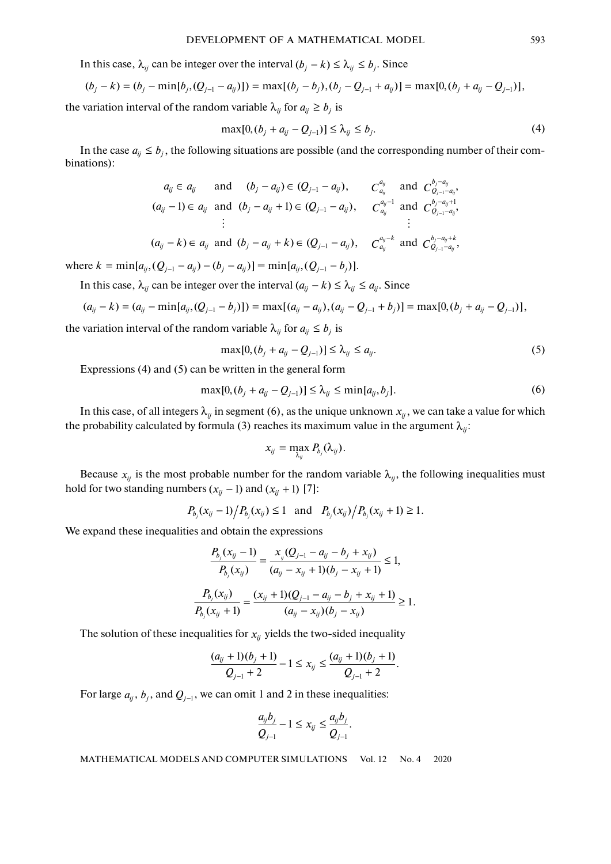In this case,  $\lambda_{ij}$  can be integer over the interval  $(b_j - k) \leq \lambda_{ij} \leq b_j$ . Since

$$
(b_j - k) = (b_j - \min[b_j, (Q_{j-1} - a_{ij})]) = \max[(b_j - b_j), (b_j - Q_{j-1} + a_{ij})] = \max[0, (b_j + a_{ij} - Q_{j-1})],
$$

the variation interval of the random variable  $\lambda_{ij}$  for  $a_{ij} \ge b_j$  is

$$
\max[0, (b_j + a_{ij} - Q_{j-1})] \le \lambda_{ij} \le b_j.
$$
 (4)

In the case  $a_{ij} \leq b_j$ , the following situations are possible (and the corresponding number of their combinations):

$$
a_{ij} \in a_{ij} \quad \text{and} \quad (b_j - a_{ij}) \in (Q_{j-1} - a_{ij}), \qquad C_{a_{ij}}^{a_{ij}} \quad \text{and} \quad C_{Q_{j-1} - a_{ij}}^{b_j - a_{ij}},
$$
  
\n
$$
(a_{ij} - 1) \in a_{ij} \quad \text{and} \quad (b_j - a_{ij} + 1) \in (Q_{j-1} - a_{ij}), \qquad C_{a_{ij}}^{a_{ij} - 1} \quad \text{and} \quad C_{Q_{j-1} - a_{ij}}^{b_j - a_{ij} + 1},
$$
  
\n
$$
\vdots
$$
  
\n
$$
(a_{ij} - k) \in a_{ij} \quad \text{and} \quad (b_j - a_{ij} + k) \in (Q_{j-1} - a_{ij}), \qquad C_{a_{ij}}^{a_{ij} - k} \quad \text{and} \quad C_{Q_{j-1} - a_{ij}}^{b_j - a_{ij} + k},
$$

where  $k = \min[a_{ij}, (Q_{j-1} - a_{ij}) - (b_j - a_{ij})] = \min[a_{ij}, (Q_{j-1} - b_j)].$ 

In this case,  $\lambda_{ij}$  can be integer over the interval  $(a_{ij} - k) \leq \lambda_{ij} \leq a_{ij}$ . Since

$$
(a_{ij}-k)=(a_{ij}-\min[a_{ij},(Q_{j-1}-b_j)])=\max[(a_{ij}-a_{ij}), (a_{ij}-Q_{j-1}+b_j)]=\max[0,(b_j+a_{ij}-Q_{j-1})],
$$

the variation interval of the random variable  $\lambda_{ij}$  for  $a_{ij} \le b_j$  is

$$
\max[0, (b_j + a_{ij} - Q_{j-1})] \le \lambda_{ij} \le a_{ij}.
$$
 (5)

Expressions (4) and (5) can be written in the general form

$$
\max[0, (b_j + a_{ij} - Q_{j-1})] \le \lambda_{ij} \le \min[a_{ij}, b_j].
$$
\n(6)

In this case, of all integers  $\lambda_{ij}$  in segment (6), as the unique unknown  $x_{ij}$ , we can take a value for which the probability calculated by formula (3) reaches its maximum value in the argument  $\lambda_{ij}$ :

$$
x_{ij} = \max_{\lambda_{ij}} P_{b_j}(\lambda_{ij}).
$$

Because  $x_{ij}$  is the most probable number for the random variable  $\lambda_{ij}$ , the following inequalities must hold for two standing numbers  $(x_{ij} - 1)$  and  $(x_{ij} + 1)$  [7]:

$$
P_{b_j}(x_{ij}-1)/P_{b_j}(x_{ij}) \le 1
$$
 and  $P_{b_j}(x_{ij})/P_{b_j}(x_{ij}+1) \ge 1$ .

We expand these inequalities and obtain the expressions

$$
\frac{P_{b_j}(x_{ij}-1)}{P_{b_j}(x_{ij})} = \frac{x_{ij}(Q_{j-1} - a_{ij} - b_j + x_{ij})}{(a_{ij} - x_{ij} + 1)(b_j - x_{ij} + 1)} \le 1,
$$
\n
$$
\frac{P_{b_j}(x_{ij})}{P_{b_j}(x_{ij} + 1)} = \frac{(x_{ij} + 1)(Q_{j-1} - a_{ij} - b_j + x_{ij} + 1)}{(a_{ij} - x_{ij})(b_j - x_{ij})} \ge 1.
$$

The solution of these inequalities for  $x_{ij}$  yields the two-sided inequality

$$
\frac{(a_{ij}+1)(b_j+1)}{Q_{j-1}+2}-1\leq x_{ij}\leq \frac{(a_{ij}+1)(b_j+1)}{Q_{j-1}+2}.
$$

For large  $a_{ij}$ ,  $b_j$ , and  $Q_{j-1}$ , we can omit 1 and 2 in these inequalities:

$$
\frac{a_{ij}b_j}{Q_{j-1}}-1\leq x_{ij}\leq \frac{a_{ij}b_j}{Q_{j-1}}.
$$

MATHEMATICAL MODELS AND COMPUTER SIMULATIONS Vol. 12 No. 4 2020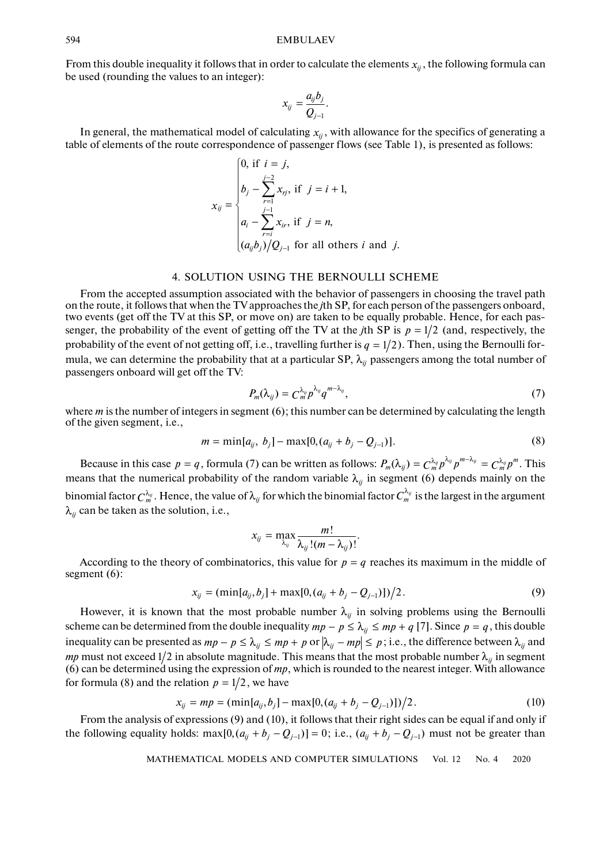From this double inequality it follows that in order to calculate the elements  $x_{ij}$ , the following formula can be used (rounding the values to an integer):

$$
x_{ij}=\frac{a_{ij}b_j}{Q_{j-1}}.
$$

In general, the mathematical model of calculating  $x_{ij}$ , with allowance for the specifics of generating a table of elements of the route correspondence of passenger flows (see Table 1), is presented as follows:

$$
x_{ij} = \begin{cases} 0, \text{ if } i = j, \\ b_j - \sum_{r=1}^{j-2} x_{rj}, \text{ if } j = i+1, \\ a_i - \sum_{r=i}^{j-1} x_{ir}, \text{ if } j = n, \\ (a_{ij}b_j)/Q_{j-1} \text{ for all others } i \text{ and } j. \end{cases}
$$

## 4. SOLUTION USING THE BERNOULLI SCHEME

From the accepted assumption associated with the behavior of passengers in choosing the travel path on the route, it follows that when the TV approaches the *j*th SP, for each person of the passengers onboard, two events (get off the TV at this SP, or move on) are taken to be equally probable. Hence, for each passenger, the probability of the event of getting off the TV at the *j*th SP is  $p = 1/2$  (and, respectively, the probability of the event of not getting off, i.e., travelling further is  $q = 1/2$ ). Then, using the Bernoulli formula, we can determine the probability that at a particular SP,  $\lambda_{ij}$  passengers among the total number of passengers onboard will get off the TV:

$$
P_m(\lambda_{ij}) = C_m^{\lambda_{ij}} p^{\lambda_{ij}} q^{m-\lambda_{ij}}, \qquad (7)
$$

where *m* is the number of integers in segment (6); this number can be determined by calculating the length of the given segment, i.e.,

$$
m = \min[a_{ij}, b_j] - \max[0, (a_{ij} + b_j - Q_{j-1})]. \tag{8}
$$

Because in this case  $p = q$ , formula (7) can be written as follows:  $P_m(\lambda_{ij}) = C_m^{\lambda_{ij}} p^{\lambda_{ij}} p^{m-\lambda_{ij}} = C_m^{\lambda_{ij}} p^m$ . This means that the numerical probability of the random variable  $\lambda_{ij}$  in segment (6) depends mainly on the binomial factor  $C_m^{\lambda_{ij}}$  . Hence, the value of  $\lambda_{ij}$  for which the binomial factor  $C_m^{\lambda_{ij}}$  is the largest in the argument  $\lambda_{ij}$  can be taken as the solution, i.e.,

$$
x_{ij} = \max_{\lambda_{ij}} \frac{m!}{\lambda_{ij}!(m - \lambda_{ij})!}.
$$

According to the theory of combinatorics, this value for  $p = q$  reaches its maximum in the middle of segment (6):

$$
x_{ij} = (\min[a_{ij}, b_j] + \max[0, (a_{ij} + b_j - Q_{j-1})])/2.
$$
\n(9)

However, it is known that the most probable number  $\lambda_{ij}$  in solving problems using the Bernoulli scheme can be determined from the double inequality  $mp - p \leq \lambda_{ij} \leq mp + q$  [7]. Since  $p = q$ , this double inequality can be presented as  $mp - p \leq \lambda_{ij} \leq mp + p$  or  $|\lambda_{ij} - mp| \leq p$ ; i.e., the difference between  $\lambda_{ij}$  and *mp* must not exceed 1/2 in absolute magnitude. This means that the most probable number  $\lambda_{ij}$  in segment (6) can be determined using the expression of *mp*, which is rounded to the nearest integer. With allowance for formula (8) and the relation  $p = 1/2$ , we have

$$
x_{ij} = mp = (\min[a_{ij}, b_j] - \max[0, (a_{ij} + b_j - Q_{j-1})])/2.
$$
 (10)

From the analysis of expressions (9) and (10), it follows that their right sides can be equal if and only if the following equality holds:  $\max[0, (a_{ij} + b_j - Q_{j-1})] = 0$ ; i.e.,  $(a_{ij} + b_j - Q_{j-1})$  must not be greater than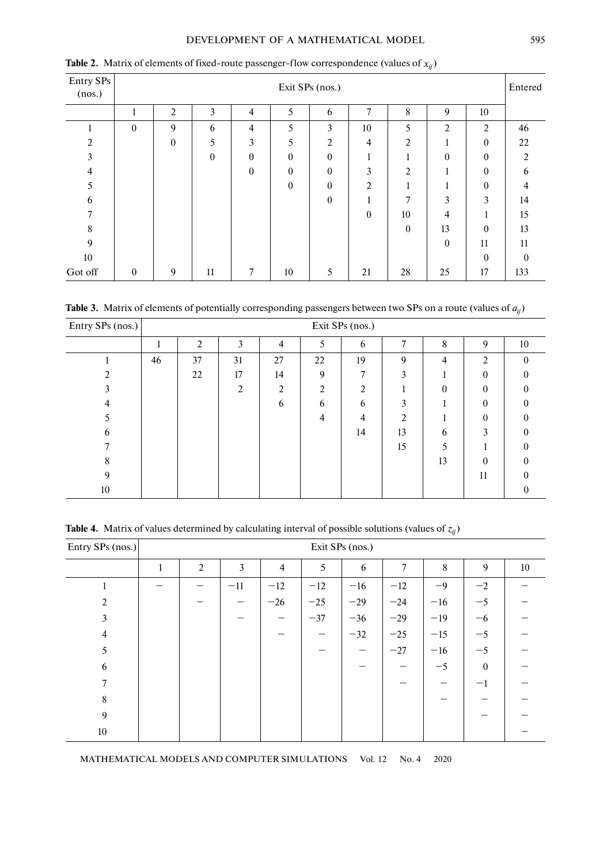## DEVELOPMENT OF A MATHEMATICAL MODEL 595

| Entry SPs<br>(nos.) | Exit SPs (nos.)  |                  |          |                |          |          |                  |                |                  |                | Entered        |
|---------------------|------------------|------------------|----------|----------------|----------|----------|------------------|----------------|------------------|----------------|----------------|
|                     | п                | 2                | 3        | $\overline{4}$ | 5        | 6        | 7                | 8              | 9                | 10             |                |
|                     | $\boldsymbol{0}$ | 9                | 6        | $\overline{4}$ | 5        | 3        | 10               | 5              | $\overline{2}$   | $\overline{2}$ | 46             |
| $\overline{2}$      |                  | $\boldsymbol{0}$ | 5        | 3              | 5        | 2        | 4                | $\overline{2}$ | л                | $\overline{0}$ | 22             |
| 3                   |                  |                  | $\theta$ | $\Omega$       | $\theta$ | $\theta$ | $\mathbf{1}$     | 1              | $\theta$         | $\theta$       | $\overline{2}$ |
| 4                   |                  |                  |          | $\Omega$       | $\theta$ | $\theta$ | 3                | 2              |                  | $\theta$       | 6              |
| 5                   |                  |                  |          |                | $\theta$ | $\theta$ | 2                | -1             |                  | $\Omega$       | 4              |
| 6                   |                  |                  |          |                |          | $\theta$ |                  | 7              | 3                | 3              | 14             |
| 7                   |                  |                  |          |                |          |          | $\boldsymbol{0}$ | 10             | 4                |                | 15             |
| 8                   |                  |                  |          |                |          |          |                  | $\theta$       | 13               | $\Omega$       | 13             |
| 9                   |                  |                  |          |                |          |          |                  |                | $\boldsymbol{0}$ | 11             | 11             |
| 10                  |                  |                  |          |                |          |          |                  |                |                  | $\Omega$       | $\theta$       |
| Got off             | $\mathbf{0}$     | 9                | 11       | 7              | 10       | 5        | 21               | 28             | 25               | 17             | 133            |

**Table 2.** Matrix of elements of fixed-route passenger-flow correspondence (values of  $x_{ij}$ )

**Table 3.** Matrix of elements of potentially corresponding passengers between two SPs on a route (values of  $a_{ij}$ )

| Entry SPs (nos.) $\vert$ | Exit SPs (nos.) |    |               |    |    |                |                |          |          |          |  |
|--------------------------|-----------------|----|---------------|----|----|----------------|----------------|----------|----------|----------|--|
|                          |                 | 2  | 3             | 4  | 5  | 6              | 7              | 8        | 9        | $10\,$   |  |
|                          | 46              | 37 | 31            | 27 | 22 | 19             | 9              | 4        | 2        | $\Omega$ |  |
|                          |                 | 22 | 17            | 14 | 9  | ┑              | $\mathbf{3}$   |          | $\theta$ |          |  |
|                          |                 |    | $\mathcal{D}$ | 2  | 2  | $\mathfrak{D}$ |                | $\theta$ | $\theta$ |          |  |
| 4                        |                 |    |               | 6  | 6  | 6              | 3              |          | $\theta$ |          |  |
|                          |                 |    |               |    | 4  | 4              | $\mathfrak{D}$ |          | $\theta$ | 0        |  |
| 6                        |                 |    |               |    |    | 14             | 13             | 6        | 3        |          |  |
|                          |                 |    |               |    |    |                | 15             |          |          | 0        |  |
| 8                        |                 |    |               |    |    |                |                | 13       | $\theta$ | $\Omega$ |  |
| 9                        |                 |    |               |    |    |                |                |          | 11       |          |  |
| 10                       |                 |    |               |    |    |                |                |          |          | $\theta$ |  |

**Table 4.** Matrix of values determined by calculating interval of possible solutions (values of  $z_{ij}$ )

| Entry SPs (nos.) | Exit SPs (nos.) |                |       |                |       |       |        |       |                  |    |  |
|------------------|-----------------|----------------|-------|----------------|-------|-------|--------|-------|------------------|----|--|
|                  | 1               | $\overline{2}$ | 3     | $\overline{4}$ | 5     | 6     | $\tau$ | 8     | 9                | 10 |  |
|                  |                 |                | $-11$ | $-12$          | $-12$ | $-16$ | $-12$  | $-9$  | $-2$             |    |  |
| 2                |                 |                |       | $-26$          | $-25$ | $-29$ | $-24$  | $-16$ | $-5$             |    |  |
| 3                |                 |                |       |                | $-37$ | $-36$ | $-29$  | $-19$ | $-6$             |    |  |
| 4                |                 |                |       |                |       | $-32$ | $-25$  | $-15$ | $-5$             |    |  |
| 5                |                 |                |       |                |       | –     | $-27$  | $-16$ | $-5$             |    |  |
| 6                |                 |                |       |                |       |       |        | $-5$  | $\boldsymbol{0}$ |    |  |
| 7                |                 |                |       |                |       |       |        |       | $^{-1}$          |    |  |
| $\,8\,$          |                 |                |       |                |       |       |        |       |                  |    |  |
| 9                |                 |                |       |                |       |       |        |       |                  |    |  |
| $10\,$           |                 |                |       |                |       |       |        |       |                  |    |  |

MATHEMATICAL MODELS AND COMPUTER SIMULATIONS Vol. 12 No. 4 2020